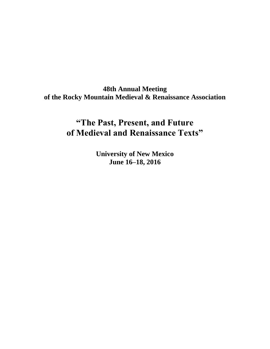**48th Annual Meeting of the Rocky Mountain Medieval & Renaissance Association**

# **"The Past, Present, and Future of Medieval and Renaissance Texts"**

**University of New Mexico June 16–18, 2016**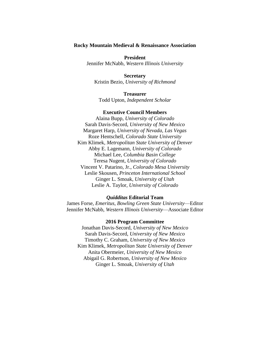#### **Rocky Mountain Medieval & Renaissance Association**

**President** Jennifer McNabb, *Western Illinois University*

**Secretary** Kristin Bezio, *University of Richmond*

**Treasurer** Todd Upton, *Independent Scholar*

## **Executive Council Members**

Alaina Bupp, *University of Colorado* Sarah Davis-Secord, *University of New Mexico* Margaret Harp, *University of Nevada, Las Vegas* Roze Hentschell, *Colorado State University* Kim Klimek, *Metropolitan State University of Denver* Abby E. Lagemann, *University of Colorado* Michael Lee, *Columbia Basin College* Teresa Nugent, *University of Colorado* Vincent V. Patarino, Jr., *Colorado Mesa University* Leslie Skousen, *Princeton International School* Ginger L. Smoak, *University of Utah* Leslie A. Taylor, *University of Colorado*

#### *Quidditas* **Editorial Team**

James Forse, *Emeritus, Bowling Green State University*—Editor Jennifer McNabb, *Western Illinois University*—Associate Editor

#### **2016 Program Committee**

Jonathan Davis-Secord, *University of New Mexico* Sarah Davis-Secord, *University of New Mexico* Timothy C. Graham, *University of New Mexico* Kim Klimek, *Metropolitan State University of Denver* Anita Obermeier, *University of New Mexico* Abigail G. Robertson, *University of New Mexico* Ginger L. Smoak, *University of Utah*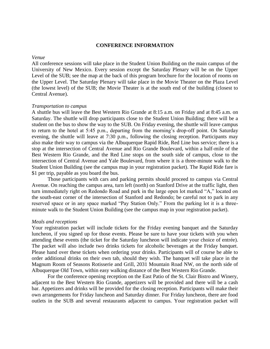#### **CONFERENCE INFORMATION**

#### *Venue*

All conference sessions will take place in the Student Union Building on the main campus of the University of New Mexico. Every session except the Saturday Plenary will be on the Upper Level of the SUB; see the map at the back of this program brochure for the location of rooms on the Upper Level. The Saturday Plenary will take place in the Movie Theater on the Plaza Level (the lowest level) of the SUB; the Movie Theater is at the south end of the building (closest to Central Avenue).

#### *Transportation to campus*

A shuttle bus will leave the Best Western Rio Grande at 8:15 a.m. on Friday and at 8:45 a.m. on Saturday. The shuttle will drop participants close to the Student Union Building; there will be a student on the bus to show the way to the SUB. On Friday evening, the shuttle will leave campus to return to the hotel at 5:45 p.m., departing from the morning's drop-off point. On Saturday evening, the shuttle will leave at 7:30 p.m., following the closing reception. Participants may also make their way to campus via the Albuquerque Rapid Ride, Red Line bus service; there is a stop at the intersection of Central Avenue and Rio Grande Boulevard, within a half-mile of the Best Western Rio Grande, and the Red Line stops on the south side of campus, close to the intersection of Central Avenue and Yale Boulevard, from where it is a three-minute walk to the Student Union Building (see the campus map in your registration packet). The Rapid Ride fare is \$1 per trip, payable as you board the bus.

Those participants with cars and parking permits should proceed to campus via Central Avenue. On reaching the campus area, turn left (north) on Stanford Drive at the traffic light, then turn immediately right on Redondo Road and park in the large open lot marked "A," located on the south-east corner of the intersection of Stanford and Redondo; be careful not to park in any reserved space or in any space marked "Pay Station Only." From the parking lot it is a threeminute walk to the Student Union Building (see the campus map in your registration packet).

#### *Meals and receptions*

Your registration packet will include tickets for the Friday evening banquet and the Saturday luncheon, if you signed up for those events. Please be sure to have your tickets with you when attending these events (the ticket for the Saturday luncheon will indicate your choice of entrée). The packet will also include two drinks tickets for alcoholic beverages at the Friday banquet. Please hand over these tickets when ordering your drinks. Participants will of course be able to order additional drinks on their own tab, should they wish. The banquet will take place in the Magnum Room of Seasons Rotisserie and Grill, 2031 Mountain Road NW, on the north side of Albuquerque Old Town, within easy walking distance of the Best Western Rio Grande.

For the conference opening reception on the East Patio of the St. Clair Bistro and Winery, adjacent to the Best Western Rio Grande, appetizers will be provided and there will be a cash bar. Appetizers and drinks will be provided for the closing reception. Participants will make their own arrangements for Friday luncheon and Saturday dinner. For Friday luncheon, there are food outlets in the SUB and several restaurants adjacent to campus. Your registration packet will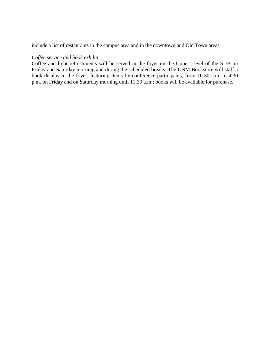include a list of restaurants in the campus area and in the downtown and Old Town areas.

## *Coffee service and book exhibit*

Coffee and light refreshments will be served in the foyer on the Upper Level of the SUB on Friday and Saturday morning and during the scheduled breaks. The UNM Bookstore will staff a book display in the foyer, featuring items by conference participants, from 10:30 a.m. to 4:30 p.m. on Friday and on Saturday morning until 11:30 a.m.; books will be available for purchase.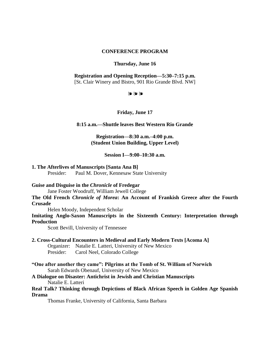#### **CONFERENCE PROGRAM**

#### **Thursday, June 16**

#### **Registration and Opening Reception—5:30–7:15 p.m.** [St. Clair Winery and Bistro, 901 Rio Grande Blvd. NW]

❧❧❧

#### **Friday, June 17**

#### **8:15 a.m.—Shuttle leaves Best Western Rio Grande**

**Registration—8:30 a.m.–4:00 p.m. (Student Union Building, Upper Level)**

**Session I—9:00–10:30 a.m.**

### **1. The Afterlives of Manuscripts [Santa Ana B]**

Presider: Paul M. Dover, Kennesaw State University

#### **Guise and Disguise in the** *Chronicle* **of Fredegar**

Jane Foster Woodruff, William Jewell College

## **The Old French** *Chronicle of Morea***: An Account of Frankish Greece after the Fourth Crusade**

Helen Moody, Independent Scholar

## **Imitating Anglo-Saxon Manuscripts in the Sixteenth Century: Interpretation through Production**

Scott Bevill, University of Tennessee

## **2. Cross-Cultural Encounters in Medieval and Early Modern Texts [Acoma A]**

Organizer: Natalie E. Latteri, University of New Mexico Presider: Carol Neel, Colorado College

**"One after another they came": Pilgrims at the Tomb of St. William of Norwich** Sarah Edwards Obenauf, University of New Mexico

## **A Dialogue on Disaster: Antichrist in Jewish and Christian Manuscripts** Natalie E. Latteri

#### **Real Talk? Thinking through Depictions of Black African Speech in Golden Age Spanish Drama**

Thomas Franke, University of California, Santa Barbara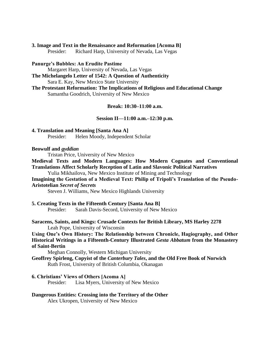# **3. Image and Text in the Renaissance and Reformation [Acoma B]**

Presider: Richard Harp, University of Nevada, Las Vegas

**Panurge's Bubbles: An Erudite Pastime**

Margaret Harp, University of Nevada, Las Vegas

**The Michelangelo Letter of 1542: A Question of Authenticity** Sara E. Kay, New Mexico State University

**The Protestant Reformation: The Implications of Religious and Educational Change** Samantha Goodrich, University of New Mexico

## **Break: 10:30–11:00 a.m.**

## **Session II—11:00 a.m.–12:30 p.m.**

**4. Translation and Meaning [Santa Ana A]** Presider: Helen Moody, Independent Scholar

## **Beowulf and** *gyddian*

Tristan Price, University of New Mexico

**Medieval Texts and Modern Languages: How Modern Cognates and Conventional Translations Affect Scholarly Reception of Latin and Slavonic Political Narratives**

Yulia Mikhailova, New Mexico Institute of Mining and Technology

## **Imagining the Gestation of a Medieval Text: Philip of Tripoli's Translation of the Pseudo-Aristotelian** *Secret of Secrets*

Steven J. Williams, New Mexico Highlands University

**5. Creating Texts in the Fifteenth Century [Santa Ana B]**

Presider: Sarah Davis-Secord, University of New Mexico

**Saracens, Saints, and Kings: Crusade Contexts for British Library, MS Harley 2278** Leah Pope, University of Wisconsin

**Using One's Own History: The Relationship between Chronicle, Hagiography, and Other Historical Writings in a Fifteenth-Century Illustrated** *Gesta Abbatum* **from the Monastery of Saint-Bertin**

Meghan Connolly, Western Michigan University

**Geoffrey Spirleng, Copyist of the** *Canterbury Tales***, and the Old Free Book of Norwich** Ruth Frost, University of British Columbia, Okanagan

## **6. Christians' Views of Others [Acoma A]**

Presider: Lisa Myers, University of New Mexico

## **Dangerous Entities: Crossing into the Territory of the Other**

Alex Ukropen, University of New Mexico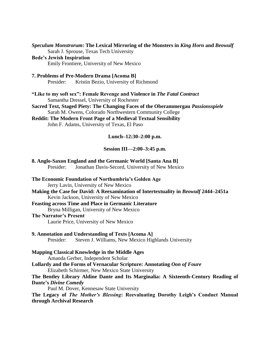*Speculum Monstrorum***: The Lexical Mirroring of the Monsters in** *King Horn* **and** *Beowulf* Sarah J. Sprouse, Texas Tech University

## **Bede's Jewish Inspiration**

Emily Frontiere, University of New Mexico

**7. Problems of Pre-Modern Drama [Acoma B]** Presider: Kristin Bezio, University of Richmond

**"Like to my soft sex": Female Revenge and Violence in** *The Fatal Contract* Samantha Dressel, University of Rochester

**Sacred Text, Staged Piety: The Changing Faces of the Oberammergau** *Passionsspiele* Sarah M. Owens, Colorado Northwestern Community College

**Reddit: The Modern Front Page of a Medieval Textual Sensibility** John F. Adams, University of Texas, El Paso

#### **Lunch–12:30–2:00 p.m.**

#### **Session III—2:00–3:45 p.m.**

|           | 8. Anglo-Saxon England and the Germanic World [Santa Ana B] |  |
|-----------|-------------------------------------------------------------|--|
| Presider: | Jonathan Davis-Secord, University of New Mexico             |  |

## **The Economic Foundation of Northumbria's Golden Age**

Jerry Lavin, University of New Mexico

**Making the Case for David: A Reexamination of Intertextuality in** *Beowulf* **2444–2451a** Kevin Jackson, University of New Mexico

**Feasting across Time and Place in Germanic Literature**

Bryna Milligan, University of New Mexico

## **The Narrator's Present**

Laurie Price, University of New Mexico

#### **9. Annotation and Understanding of Texts [Acoma A]**

Presider: Steven J. Williams, New Mexico Highlands University

#### **Mapping Classical Knowledge in the Middle Ages**

Amanda Gerber, Independent Scholar

**Lollardy and the Forms of Vernacular Scripture: Annotating** *Oon of Foure* Elizabeth Schirmer, New Mexico State University

## **The Bentley Library Aldine Dante and Its Marginalia: A Sixteenth-Century Reading of Dante's** *Divine Comedy*

Paul M. Dover, Kennesaw State University

**The Legacy of** *The Mother's Blessing***: Reevaluating Dorothy Leigh's Conduct Manual through Archival Research**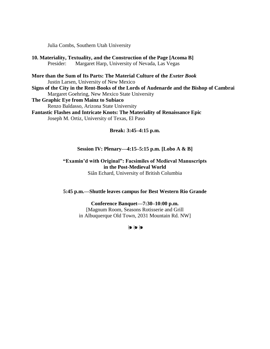Julia Combs, Southern Utah University

- **10. Materiality, Textuality, and the Construction of the Page [Acoma B]** Presider: Margaret Harp, University of Nevada, Las Vegas
- **More than the Sum of Its Parts: The Material Culture of the** *Exeter Book* Justin Larsen, University of New Mexico
- **Signs of the City in the Rent-Books of the Lords of Audenarde and the Bishop of Cambrai** Margaret Goehring, New Mexico State University
- **The Graphic Eye from Mainz to Subiaco**
	- Renzo Baldasso, Arizona State University
- **Fantastic Flashes and Intricate Knots: The Materiality of Renaissance Epic** Joseph M. Ortiz, University of Texas, El Paso

## **Break: 3:45–4:15 p.m.**

## **Session IV: Plenary—4:15–5:15 p.m. [Lobo A & B]**

## **"Examin'd with Original": Facsimiles of Medieval Manuscripts in the Post-Medieval World** Siân Echard, University of British Columbia

## **5:45 p.m.—Shuttle leaves campus for Best Western Rio Grande**

**Conference Banquet—7:30–10:00 p.m.** [Magnum Room, Seasons Rotisserie and Grill in Albuquerque Old Town, 2031 Mountain Rd. NW]

❧❧❧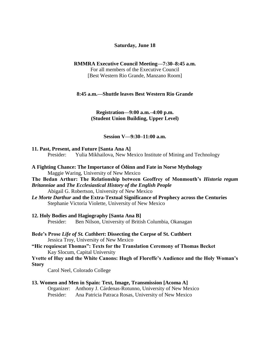## **Saturday, June 18**

#### **RMMRA Executive Council Meeting—7:30–8:45 a.m.**

For all members of the Executive Council [Best Western Rio Grande, Manzano Room]

#### **8:45 a.m.—Shuttle leaves Best Western Rio Grande**

## **Registration—9:00 a.m.–4:00 p.m. (Student Union Building, Upper Level)**

#### **Session V—9:30–11:00 a.m.**

#### **11. Past, Present, and Future [Santa Ana A]**

Presider: Yulia Mikhailova, New Mexico Institute of Mining and Technology

- **A Fighting Chance: The Importance of Óðinn and Fate in Norse Mythology** Maggie Waring, University of New Mexico
- **The Bedan Arthur: The Relationship between Geoffrey of Monmouth's** *Historia regum Britanniae* **and** *The Ecclesiastical History of the English People* Abigail G. Robertson, University of New Mexico
- *Le Morte Darthur* **and the Extra-Textual Significance of Prophecy across the Centuries** Stephanie Victoria Violette, University of New Mexico
- **12. Holy Bodies and Hagiography [Santa Ana B]** Presider: Ben Nilson, University of British Columbia, Okanagan
- **Bede's Prose** *Life of St. Cuthbert***: Dissecting the Corpse of St. Cuthbert** Jessica Troy, University of New Mexico

**"Hic requiescat Thomas": Texts for the Translation Ceremony of Thomas Becket** Kay Slocum, Capital University

## **Yvette of Huy and the White Canons: Hugh of Floreffe's Audience and the Holy Woman's Story**

Carol Neel, Colorado College

## **13. Women and Men in Spain: Text, Image, Transmission [Acoma A]** Organizer: Anthony J. Cárdenas-Rotunno, University of New Mexico Presider: Ana Patricia Patraca Rosas, University of New Mexico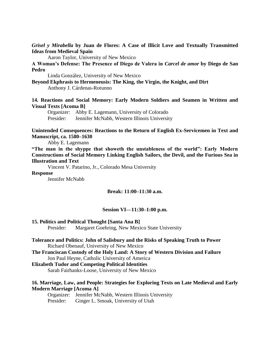*Grisel y Mirabella* **by Juan de Flores: A Case of Illicit Love and Textually Transmitted Ideas from Medieval Spain**

Aaron Taylor, University of New Mexico

**A Woman's Defense: The Presence of Diego de Valera in** *Carcel de amor* **by Diego de San Pedro**

Linda González, University of New Mexico

**Beyond Ekphrasis to Hermeneusis: The King, the Virgin, the Knight, and Dirt** Anthony J. Cárdenas-Rotunno

**14. Reactions and Social Memory: Early Modern Soldiers and Seamen in Written and Visual Texts [Acoma B]**

Organizer: Abby E. Lagemann, University of Colorado Presider: Jennifer McNabb, Western Illinois University

**Unintended Consequences: Reactions to the Return of English Ex-Servicemen in Text and Manuscript, ca. 1580–1630**

Abby E. Lagemann

**"The man in the shyppe that showeth the unstableness of the world": Early Modern Constructions of Social Memory Linking English Sailors, the Devil, and the Furious Sea in Illustration and Text**

Vincent V. Patarino, Jr., Colorado Mesa University

**Response**

Jennifer McNabb

## **Break: 11:00–11:30 a.m.**

#### **Session VI—11:30–1:00 p.m.**

#### **15. Politics and Political Thought [Santa Ana B]**

Presider: Margaret Goehring, New Mexico State University

- **Tolerance and Politics: John of Salisbury and the Risks of Speaking Truth to Power** Richard Obenauf, University of New Mexico
- **The Franciscan Custody of the Holy Land: A Story of Western Division and Failure** Jon Paul Heyne, Catholic University of America

#### **Elizabeth Tudor and Competing Political Identities**

Sarah Fairbanks-Loose, University of New Mexico

## **16. Marriage, Law, and People: Strategies for Exploring Texts on Late Medieval and Early Modern Marriage [Acoma A]**

Organizer: Jennifer McNabb, Western Illinois University Presider: Ginger L. Smoak, University of Utah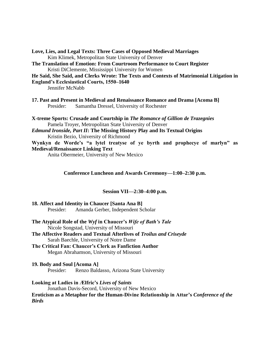**Love, Lies, and Legal Texts: Three Cases of Opposed Medieval Marriages** Kim Klimek, Metropolitan State University of Denver

**The Translation of Emotion: From Courtroom Performance to Court Register** Kristi DiClemente, Mississippi University for Women

## **He Said, She Said, and Clerks Wrote: The Texts and Contexts of Matrimonial Litigation in England's Ecclesiastical Courts, 1550–1640**

Jennifer McNabb

**17. Past and Present in Medieval and Renaissance Romance and Drama [Acoma B]** Presider: Samantha Dressel, University of Rochester

**X-treme Sports: Crusade and Courtship in** *The Romance of Gillion de Trazegnies* Pamela Troyer, Metropolitan State University of Denver *Edmund Ironside, Part II***: The Missing History Play and Its Textual Origins** Kristin Bezio, University of Richmond

**Wynkyn de Worde's "a lytel treatyse of ye byrth and prophecye of marlyn" as Medieval/Renaissance Linking Text**

Anita Obermeier, University of New Mexico

## **Conference Luncheon and Awards Ceremony—1:00–2:30 p.m.**

## **Session VII—2:30–4:00 p.m.**

**18. Affect and Identity in Chaucer [Santa Ana B]** Presider: Amanda Gerber, Independent Scholar

- **The Atypical Role of the** *Wyf* **in Chaucer's** *Wife of Bath's Tale* Nicole Songstad, University of Missouri
- **The Affective Readers and Textual Afterlives of** *Troilus and Criseyde* Sarah Baechle, University of Notre Dame
- **The Critical Fan: Chaucer's Clerk as Fanfiction Author** Megan Abrahamson, University of Missouri
- **19. Body and Soul [Acoma A]**

Presider: Renzo Baldasso, Arizona State University

#### **Looking at Ladies in Ælfric's** *Lives of Saints*

Jonathan Davis-Secord, University of New Mexico

## **Eroticism as a Metaphor for the Human-Divine Relationship in Attar's** *Conference of the Birds*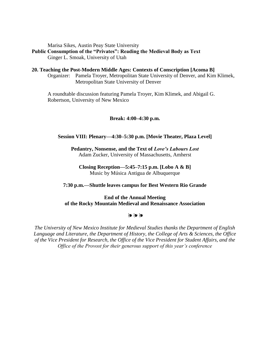Marisa Sikes, Austin Peay State University

**Public Consumption of the "Privates": Reading the Medieval Body as Text** Ginger L. Smoak, University of Utah

**20. Teaching the Post-Modern Middle Ages: Contexts of Conscription [Acoma B]** Organizer: Pamela Troyer, Metropolitan State University of Denver, and Kim Klimek, Metropolitan State University of Denver

A roundtable discussion featuring Pamela Troyer, Kim Klimek, and Abigail G. Robertson, University of New Mexico

## **Break: 4:00–4:30 p.m.**

## **Session VIII: Plenary—4:30–5:30 p.m. [Movie Theater, Plaza Level]**

**Pedantry, Nonsense, and the Text of** *Love's Labours Lost* Adam Zucker, University of Massachusetts, Amherst

**Closing Reception—5:45–7:15 p.m. [Lobo A & B]** Music by Música Antigua de Albuquerque

#### **7:30 p.m.—Shuttle leaves campus for Best Western Rio Grande**

## **End of the Annual Meeting of the Rocky Mountain Medieval and Renaissance Association**

#### ❧❧❧

*The University of New Mexico Institute for Medieval Studies thanks the Department of English Language and Literature, the Department of History, the College of Arts & Sciences, the Office of the Vice President for Research, the Office of the Vice President for Student Affairs, and the Office of the Provost for their generous support of this year's conference*